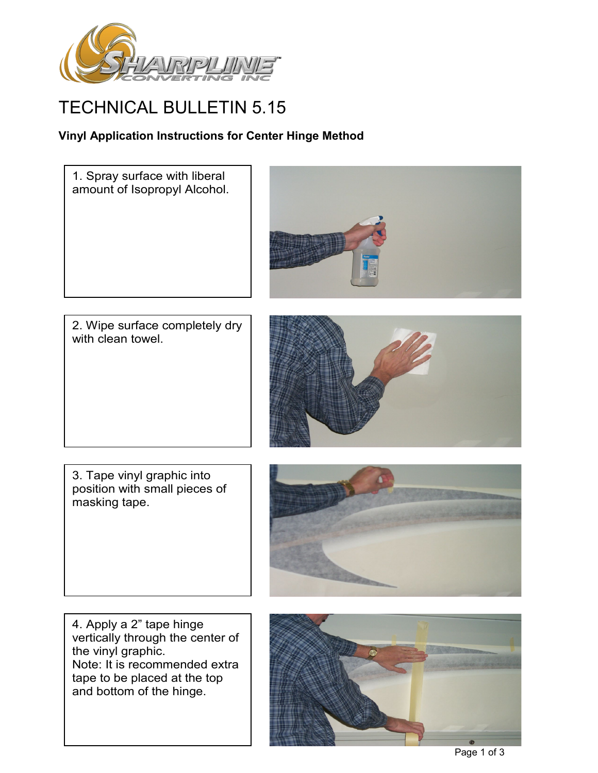

## TECHNICAL BULLETIN 5.15

## **Vinyl Application Instructions for Center Hinge Method**

1. Spray surface with liberal amount of Isopropyl Alcohol.



2. Wipe surface completely dry with clean towel.



3. Tape vinyl graphic into position with small pieces of masking tape.



4. Apply a 2" tape hinge vertically through the center of the vinyl graphic. Note: It is recommended extra tape to be placed at the top and bottom of the hinge.

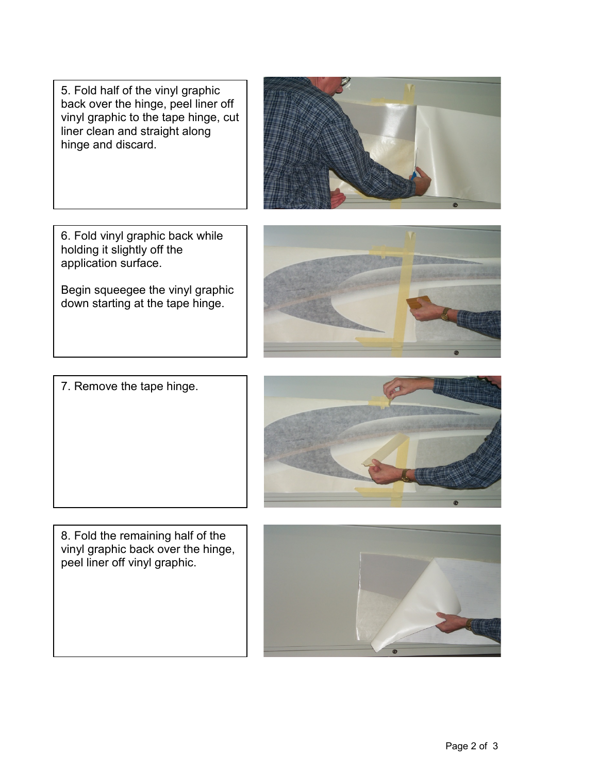5. Fold half of the vinyl graphic back over the hinge, peel liner off vinyl graphic to the tape hinge, cut liner clean and straight along hinge and discard.

6. Fold vinyl graphic back while holding it slightly off the application surface.

Begin squeegee the vinyl graphic down starting at the tape hinge.

7. Remove the tape hinge.

8. Fold the remaining half of the vinyl graphic back over the hinge, peel liner off vinyl graphic.